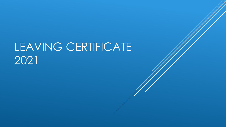# LEAVING CERTIFICATE 2021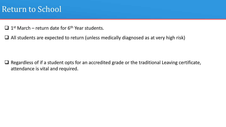#### Return to School

 $\Box$  1<sup>st</sup> March – return date for 6<sup>th</sup> Year students.

 $\Box$  All students are expected to return (unless medically diagnosed as at very high risk)

 $\Box$  Regardless of if a student opts for an accredited grade or the traditional Leaving certificate, attendance is vital and required.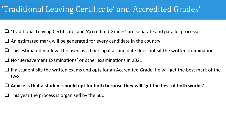### 'Traditional Leaving Certificate' and 'Accredited Grades'

- 'Traditional Leaving Certificate' and 'Accredited Grades' are separate and parallel processes
- $\Box$  An estimated mark will be generated for every candidate in the country
- $\Box$  This estimated mark will be used as a back-up if a candidate does not sit the written examination
- $\Box$  No 'Bereavement Examinations' or other examinations in 2021
- If a student sits the written exams and opts for an Accredited Grade, he will get the best mark of the two
- **Advice is that a student should opt for both because they will 'get the best of both worlds'**
- $\Box$  This year the process is organised by the SEC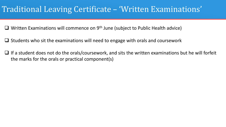### Traditional Leaving Certificate – 'Written Examinations'

 $\Box$  Written Examinations will commence on 9<sup>th</sup> June (subject to Public Health advice)

- $\Box$  Students who sit the examinations will need to engage with orals and coursework
- $\Box$  If a student does not do the orals/coursework, and sits the written examinations but he will forfeit the marks for the orals or practical component(s)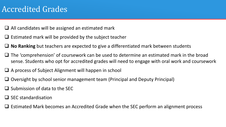- $\Box$  All candidates will be assigned an estimated mark
- $\Box$  Estimated mark will be provided by the subject teacher
- **No Ranking** but teachers are expected to give a differentiated mark between students
- $\Box$  The 'comprehension' of coursework can be used to determine an estimated mark in the broad sense. Students who opt for accredited grades will need to engage with oral work and coursework
- $\Box$  A process of Subject Alignment will happen in school
- $\Box$  Oversight by school senior management team (Principal and Deputy Principal)
- $\Box$  Submission of data to the SEC
- $\Box$  SEC standardisation
- $\Box$  Estimated Mark becomes an Accredited Grade when the SEC perform an alignment process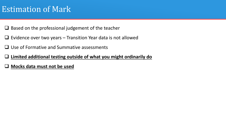#### Estimation of Mark

- $\Box$  Based on the professional judgement of the teacher
- $\Box$  Evidence over two years Transition Year data is not allowed
- $\Box$  Use of Formative and Summative assessments
- **Limited additional testing outside of what you might ordinarily do**
- **Mocks data must not be used**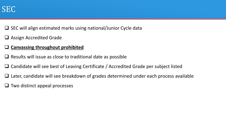

- $\Box$  SEC will align estimated marks using national/Junior Cycle data
- $\Box$  Assign Accredited Grade
- **Canvassing throughout prohibited**
- $\Box$  Results will issue as close to traditional date as possible
- $\Box$  Candidate will see best of Leaving Certificate / Accredited Grade per subject listed
- $\Box$  Later, candidate will see breakdown of grades determined under each process available
- $\Box$  Two distinct appeal processes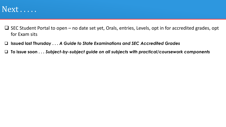

- $\Box$  SEC Student Portal to open no date set yet, Orals, entries, Levels, opt in for accredited grades, opt for Exam sits
- **Issued last Thursday . . .** *A Guide to State Examinations and SEC Accredited Grades*
- **To issue soon . .** *. Subject-by-subject guide on all subjects with practical/coursework components*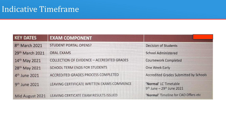| <b>KEY DATES</b>           | <b>EXAM COMPONENT</b>                             |                                                    |
|----------------------------|---------------------------------------------------|----------------------------------------------------|
| 8 <sup>th</sup> March 2021 | <b>STUDENT PORTAL OPENS?</b>                      | <b>Decision of Students</b>                        |
| 29th March 2021            | <b>ORAL EXAMS</b>                                 | <b>School Administered</b>                         |
| 14th May 2021              | <b>COLLECTION OF EVIDENCE - ACCREDITED GRADES</b> | <b>Coursework Completed</b>                        |
| 28th May 2021              | SCHOOL TERM ENDS FOR STUDENTS                     | One Week Early                                     |
| 4 <sup>th</sup> June 2021  | <b>ACCREDITED GRADES PROCESS COMPLETED</b>        | Accredited Grades Submitted by Schools             |
| 9 <sup>th</sup> June 2021  | LEAVING CERTIFICATE WRITTEN EXAMS COMMENCE        | 'Normal' LC Timetable<br>9th June - 29th June 2021 |
| Mid August 2021            | LEAVING CERTICATE EXAM RESULTS ISSUED             | 'Normal' Timeline for CAO Offers etc               |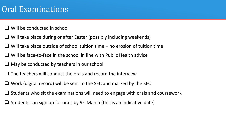### Oral Examinations

- $\Box$  Will be conducted in school
- $\Box$  Will take place during or after Easter (possibly including weekends)
- $\Box$  Will take place outside of school tuition time no erosion of tuition time
- $\Box$  Will be face-to-face in the school in line with Public Health advice
- $\Box$  May be conducted by teachers in our school
- $\Box$  The teachers will conduct the orals and record the interview
- $\Box$  Work (digital record) will be sent to the SEC and marked by the SEC
- $\Box$  Students who sit the examinations will need to engage with orals and coursework
- $\Box$  Students can sign up for orals by 9<sup>th</sup> March (this is an indicative date)